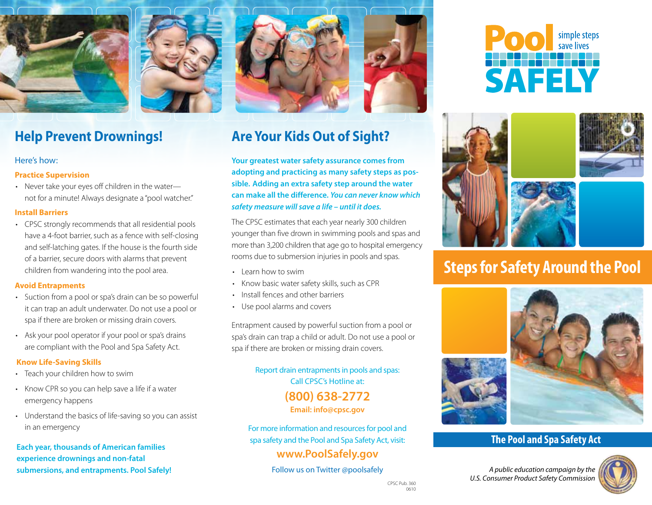





## **Help Prevent Drownings!**

#### Here's how:

#### **Practice Supervision**

• Never take your eyes off children in the waternot for a minute! Always designate a "pool watcher."

### **Install Barriers**

• CPSC strongly recommends that all residential pools have a 4-foot barrier, such as a fence with self-closing and self-latching gates. If the house is the fourth side of a barrier, secure doors with alarms that prevent children from wandering into the pool area.

### **Avoid Entrapments**

- Suction from a pool or spa's drain can be so powerful it can trap an adult underwater. Do not use a pool or spa if there are broken or missing drain covers.
- Ask your pool operator if your pool or spa's drains are compliant with the Pool and Spa Safety Act.

### **Know Life-Saving Skills**

- Teach your children how to swim
- Know CPR so you can help save a life if a water emergency happens
- Understand the basics of life-saving so you can assist in an emergency

**Each year, thousands of American families experience drownings and non-fatal submersions, and entrapments. Pool Safely!**

# **Are Your Kids Out of Sight?**

**Your greatest water safety assurance comes from adopting and practicing as many safety steps as possible. Adding an extra safety step around the water can make all the difference.** *You can never know which safety measure will save a life – until it does.*

The CPSC estimates that each year nearly 300 children younger than five drown in swimming pools and spas and more than 3,200 children that age go to hospital emergency rooms due to submersion injuries in pools and spas.

- • Learn how to swim
- • Know basic water safety skills, such as CPR
- Install fences and other barriers
- • Use pool alarms and covers

Entrapment caused by powerful suction from a pool or spa's drain can trap a child or adult. Do not use a pool or spa if there are broken or missing drain covers.

> Report drain entrapments in pools and spas: Call CPSC's Hotline at: **(800) 638-2772**

> > **Email: info@cpsc.gov**

For more information and resources for pool and spa safety and the Pool and Spa Safety Act, visit:

### **www.PoolSafely.gov**

Follow us on Twitter @poolsafely





# **Steps for Safety Around the Pool**



### **The Pool and Spa Safety Act**

*A public education campaign by the U.S. Consumer Product Safety Commission*